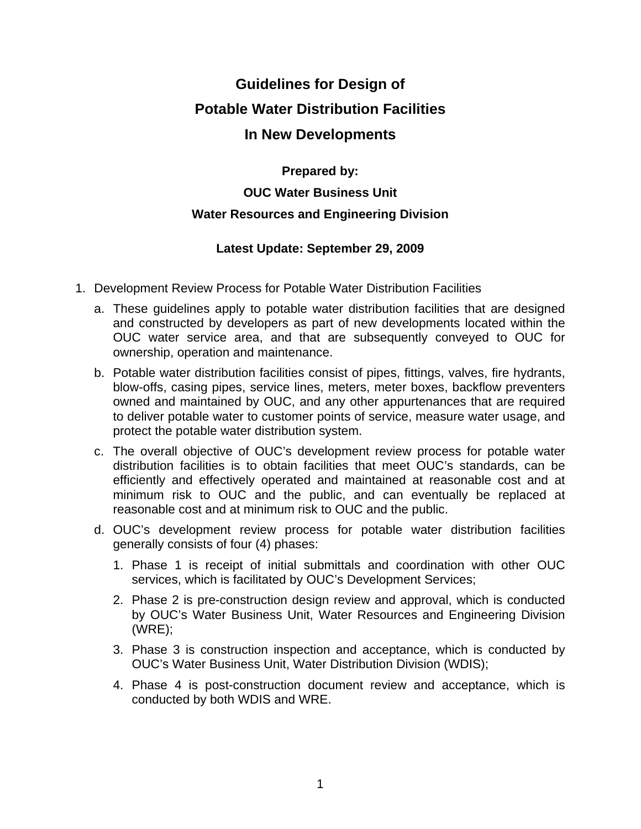# **Guidelines for Design of Potable Water Distribution Facilities In New Developments**

### **Prepared by:**

## **OUC Water Business Unit**

# **Water Resources and Engineering Division**

### **Latest Update: September 29, 2009**

- 1. Development Review Process for Potable Water Distribution Facilities
	- a. These guidelines apply to potable water distribution facilities that are designed and constructed by developers as part of new developments located within the OUC water service area, and that are subsequently conveyed to OUC for ownership, operation and maintenance.
	- b. Potable water distribution facilities consist of pipes, fittings, valves, fire hydrants, blow-offs, casing pipes, service lines, meters, meter boxes, backflow preventers owned and maintained by OUC, and any other appurtenances that are required to deliver potable water to customer points of service, measure water usage, and protect the potable water distribution system.
	- c. The overall objective of OUC's development review process for potable water distribution facilities is to obtain facilities that meet OUC's standards, can be efficiently and effectively operated and maintained at reasonable cost and at minimum risk to OUC and the public, and can eventually be replaced at reasonable cost and at minimum risk to OUC and the public.
	- d. OUC's development review process for potable water distribution facilities generally consists of four (4) phases:
		- 1. Phase 1 is receipt of initial submittals and coordination with other OUC services, which is facilitated by OUC's Development Services;
		- 2. Phase 2 is pre-construction design review and approval, which is conducted by OUC's Water Business Unit, Water Resources and Engineering Division (WRE);
		- 3. Phase 3 is construction inspection and acceptance, which is conducted by OUC's Water Business Unit, Water Distribution Division (WDIS);
		- 4. Phase 4 is post-construction document review and acceptance, which is conducted by both WDIS and WRE.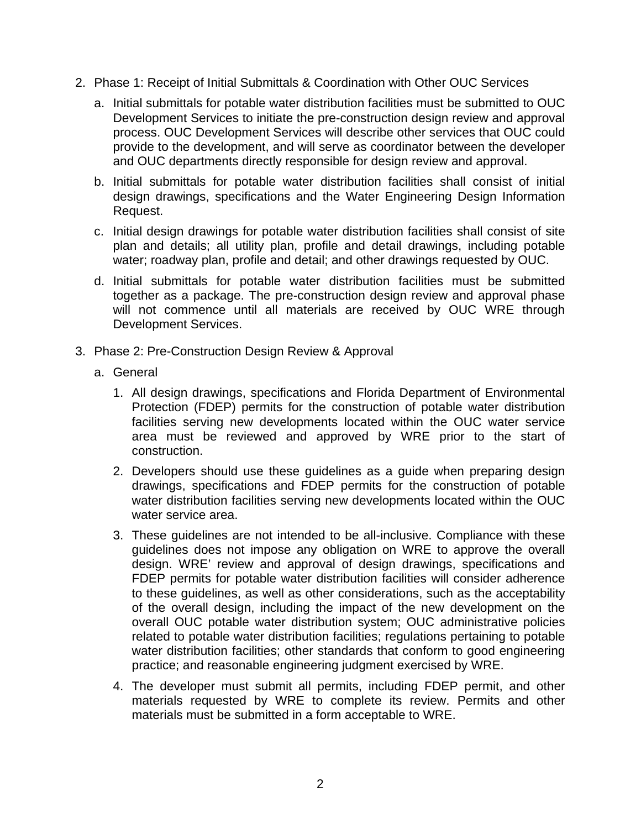- 2. Phase 1: Receipt of Initial Submittals & Coordination with Other OUC Services
	- a. Initial submittals for potable water distribution facilities must be submitted to OUC Development Services to initiate the pre-construction design review and approval process. OUC Development Services will describe other services that OUC could provide to the development, and will serve as coordinator between the developer and OUC departments directly responsible for design review and approval.
	- b. Initial submittals for potable water distribution facilities shall consist of initial design drawings, specifications and the Water Engineering Design Information Request.
	- c. Initial design drawings for potable water distribution facilities shall consist of site plan and details; all utility plan, profile and detail drawings, including potable water; roadway plan, profile and detail; and other drawings requested by OUC.
	- d. Initial submittals for potable water distribution facilities must be submitted together as a package. The pre-construction design review and approval phase will not commence until all materials are received by OUC WRE through Development Services.
- 3. Phase 2: Pre-Construction Design Review & Approval
	- a. General
		- 1. All design drawings, specifications and Florida Department of Environmental Protection (FDEP) permits for the construction of potable water distribution facilities serving new developments located within the OUC water service area must be reviewed and approved by WRE prior to the start of construction.
		- 2. Developers should use these guidelines as a guide when preparing design drawings, specifications and FDEP permits for the construction of potable water distribution facilities serving new developments located within the OUC water service area.
		- 3. These guidelines are not intended to be all-inclusive. Compliance with these guidelines does not impose any obligation on WRE to approve the overall design. WRE' review and approval of design drawings, specifications and FDEP permits for potable water distribution facilities will consider adherence to these guidelines, as well as other considerations, such as the acceptability of the overall design, including the impact of the new development on the overall OUC potable water distribution system; OUC administrative policies related to potable water distribution facilities; regulations pertaining to potable water distribution facilities; other standards that conform to good engineering practice; and reasonable engineering judgment exercised by WRE.
		- 4. The developer must submit all permits, including FDEP permit, and other materials requested by WRE to complete its review. Permits and other materials must be submitted in a form acceptable to WRE.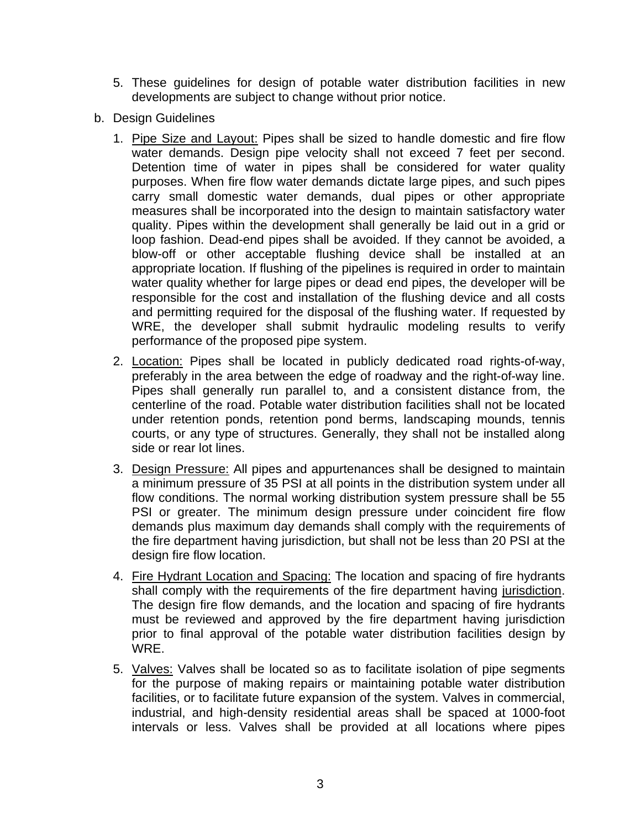- 5. These guidelines for design of potable water distribution facilities in new developments are subject to change without prior notice.
- b. Design Guidelines
	- 1. Pipe Size and Layout: Pipes shall be sized to handle domestic and fire flow water demands. Design pipe velocity shall not exceed 7 feet per second. Detention time of water in pipes shall be considered for water quality purposes. When fire flow water demands dictate large pipes, and such pipes carry small domestic water demands, dual pipes or other appropriate measures shall be incorporated into the design to maintain satisfactory water quality. Pipes within the development shall generally be laid out in a grid or loop fashion. Dead-end pipes shall be avoided. If they cannot be avoided, a blow-off or other acceptable flushing device shall be installed at an appropriate location. If flushing of the pipelines is required in order to maintain water quality whether for large pipes or dead end pipes, the developer will be responsible for the cost and installation of the flushing device and all costs and permitting required for the disposal of the flushing water. If requested by WRE, the developer shall submit hydraulic modeling results to verify performance of the proposed pipe system.
	- 2. Location: Pipes shall be located in publicly dedicated road rights-of-way, preferably in the area between the edge of roadway and the right-of-way line. Pipes shall generally run parallel to, and a consistent distance from, the centerline of the road. Potable water distribution facilities shall not be located under retention ponds, retention pond berms, landscaping mounds, tennis courts, or any type of structures. Generally, they shall not be installed along side or rear lot lines.
	- 3. Design Pressure: All pipes and appurtenances shall be designed to maintain a minimum pressure of 35 PSI at all points in the distribution system under all flow conditions. The normal working distribution system pressure shall be 55 PSI or greater. The minimum design pressure under coincident fire flow demands plus maximum day demands shall comply with the requirements of the fire department having jurisdiction, but shall not be less than 20 PSI at the design fire flow location.
	- 4. Fire Hydrant Location and Spacing: The location and spacing of fire hydrants shall comply with the requirements of the fire department having jurisdiction. The design fire flow demands, and the location and spacing of fire hydrants must be reviewed and approved by the fire department having jurisdiction prior to final approval of the potable water distribution facilities design by WRE.
	- 5. Valves: Valves shall be located so as to facilitate isolation of pipe segments for the purpose of making repairs or maintaining potable water distribution facilities, or to facilitate future expansion of the system. Valves in commercial, industrial, and high-density residential areas shall be spaced at 1000-foot intervals or less. Valves shall be provided at all locations where pipes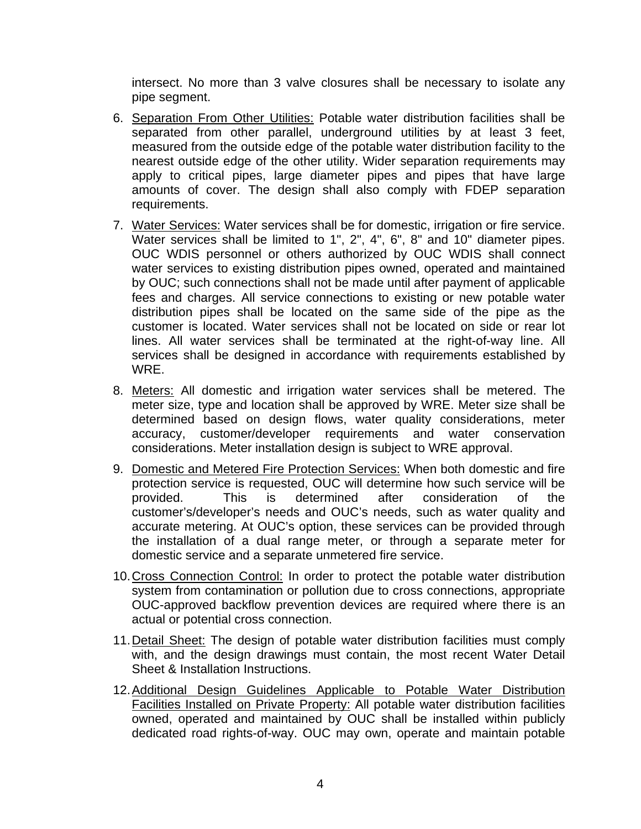intersect. No more than 3 valve closures shall be necessary to isolate any pipe segment.

- 6. Separation From Other Utilities: Potable water distribution facilities shall be separated from other parallel, underground utilities by at least 3 feet, measured from the outside edge of the potable water distribution facility to the nearest outside edge of the other utility. Wider separation requirements may apply to critical pipes, large diameter pipes and pipes that have large amounts of cover. The design shall also comply with FDEP separation requirements.
- 7. Water Services: Water services shall be for domestic, irrigation or fire service. Water services shall be limited to 1", 2", 4", 6", 8" and 10" diameter pipes. OUC WDIS personnel or others authorized by OUC WDIS shall connect water services to existing distribution pipes owned, operated and maintained by OUC; such connections shall not be made until after payment of applicable fees and charges. All service connections to existing or new potable water distribution pipes shall be located on the same side of the pipe as the customer is located. Water services shall not be located on side or rear lot lines. All water services shall be terminated at the right-of-way line. All services shall be designed in accordance with requirements established by WRE.
- 8. Meters: All domestic and irrigation water services shall be metered. The meter size, type and location shall be approved by WRE. Meter size shall be determined based on design flows, water quality considerations, meter accuracy, customer/developer requirements and water conservation considerations. Meter installation design is subject to WRE approval.
- 9. Domestic and Metered Fire Protection Services: When both domestic and fire protection service is requested, OUC will determine how such service will be provided. This is determined after consideration of the customer's/developer's needs and OUC's needs, such as water quality and accurate metering. At OUC's option, these services can be provided through the installation of a dual range meter, or through a separate meter for domestic service and a separate unmetered fire service.
- 10. Cross Connection Control: In order to protect the potable water distribution system from contamination or pollution due to cross connections, appropriate OUC-approved backflow prevention devices are required where there is an actual or potential cross connection.
- 11. Detail Sheet: The design of potable water distribution facilities must comply with, and the design drawings must contain, the most recent Water Detail Sheet & Installation Instructions.
- 12. Additional Design Guidelines Applicable to Potable Water Distribution Facilities Installed on Private Property: All potable water distribution facilities owned, operated and maintained by OUC shall be installed within publicly dedicated road rights-of-way. OUC may own, operate and maintain potable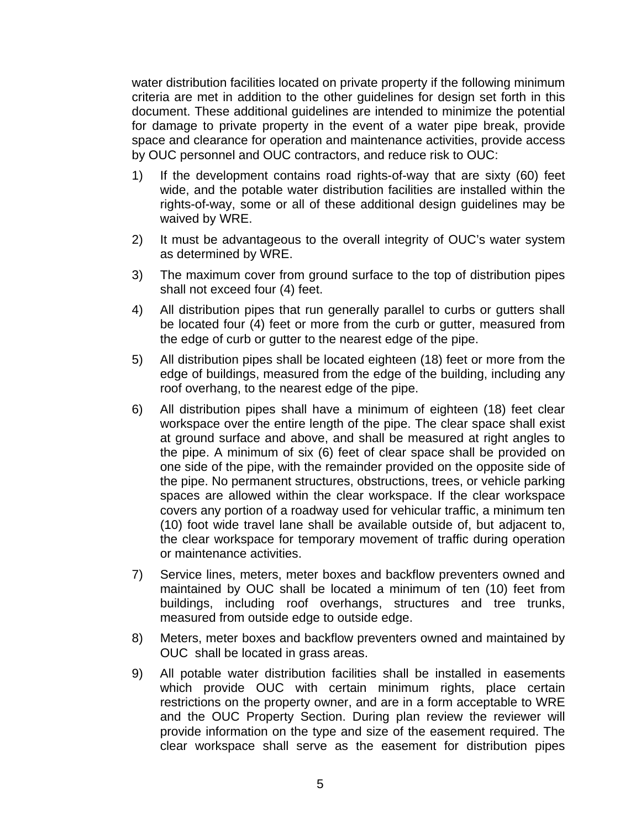water distribution facilities located on private property if the following minimum criteria are met in addition to the other guidelines for design set forth in this document. These additional guidelines are intended to minimize the potential for damage to private property in the event of a water pipe break, provide space and clearance for operation and maintenance activities, provide access by OUC personnel and OUC contractors, and reduce risk to OUC:

- 1) If the development contains road rights-of-way that are sixty (60) feet wide, and the potable water distribution facilities are installed within the rights-of-way, some or all of these additional design guidelines may be waived by WRE.
- 2) It must be advantageous to the overall integrity of OUC's water system as determined by WRE.
- 3) The maximum cover from ground surface to the top of distribution pipes shall not exceed four (4) feet.
- 4) All distribution pipes that run generally parallel to curbs or gutters shall be located four (4) feet or more from the curb or gutter, measured from the edge of curb or gutter to the nearest edge of the pipe.
- 5) All distribution pipes shall be located eighteen (18) feet or more from the edge of buildings, measured from the edge of the building, including any roof overhang, to the nearest edge of the pipe.
- 6) All distribution pipes shall have a minimum of eighteen (18) feet clear workspace over the entire length of the pipe. The clear space shall exist at ground surface and above, and shall be measured at right angles to the pipe. A minimum of six (6) feet of clear space shall be provided on one side of the pipe, with the remainder provided on the opposite side of the pipe. No permanent structures, obstructions, trees, or vehicle parking spaces are allowed within the clear workspace. If the clear workspace covers any portion of a roadway used for vehicular traffic, a minimum ten (10) foot wide travel lane shall be available outside of, but adjacent to, the clear workspace for temporary movement of traffic during operation or maintenance activities.
- 7) Service lines, meters, meter boxes and backflow preventers owned and maintained by OUC shall be located a minimum of ten (10) feet from buildings, including roof overhangs, structures and tree trunks, measured from outside edge to outside edge.
- 8) Meters, meter boxes and backflow preventers owned and maintained by OUC shall be located in grass areas.
- 9) All potable water distribution facilities shall be installed in easements which provide OUC with certain minimum rights, place certain restrictions on the property owner, and are in a form acceptable to WRE and the OUC Property Section. During plan review the reviewer will provide information on the type and size of the easement required. The clear workspace shall serve as the easement for distribution pipes